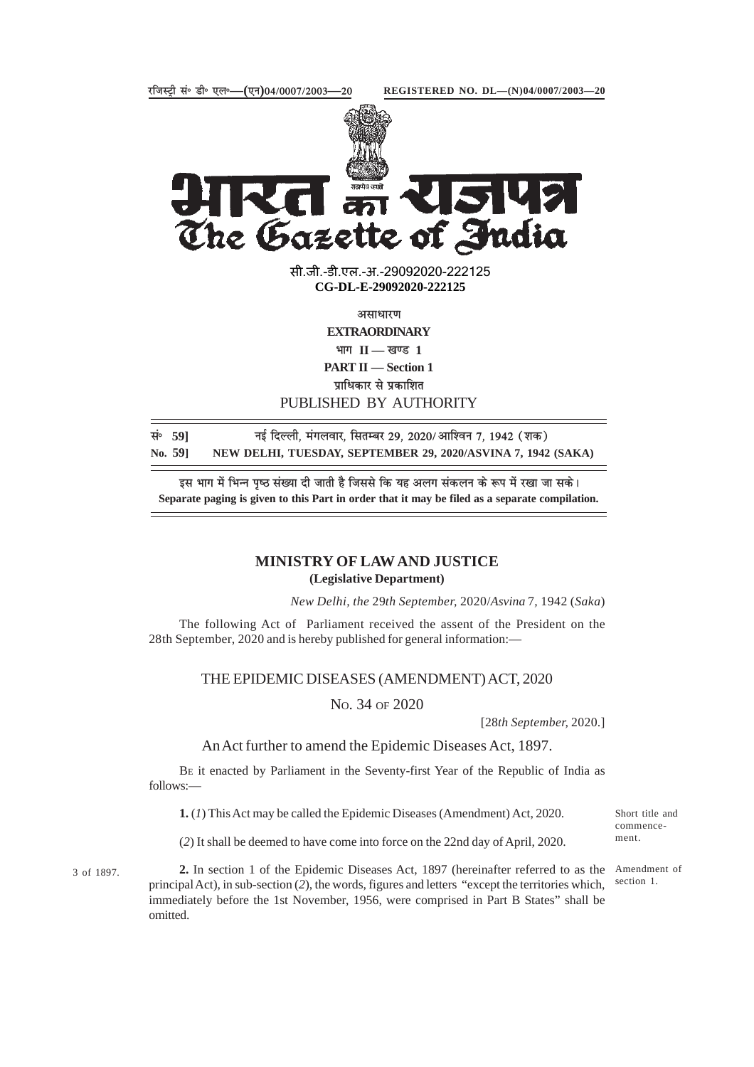



सी.जी.-डी.एल.-अ.-29092020-222125 **xxxGIDExxx CG-DL-E-29092020-222125**

असाधारण **EXTRAORDINARY**  $\overline{H}$  **II — खण्ड** 1 **PART II — Section 1 प्राधिकार से प्रकाशित** PUBLISHED BY AUTHORITY

**lañ 59] ubZ fnYyh] eaxyokj] flrEcj 29] 2020@vkf'ou 7] 1942 ¼'kd½** NEW DELHI, TUESDAY, SEPTEMBER 29, 2020/ASVINA 7, 1942 (SAKA)

इस भाग में भिन्न पष्ठ संख्या दी जाती है जिससे कि यह अलग संकलन के रूप में रखा जा सके। **Separate paging is given to this Part in order that it may be filed as a separate compilation.**

## **MINISTRY OF LAW AND JUSTICE (Legislative Department)**

*New Delhi, the* 29*th September,* 2020/*Asvina* 7*,* 1942 (*Saka*)

The following Act of Parliament received the assent of the President on the 28th September, 2020 and is hereby published for general information:—

## THE EPIDEMIC DISEASES (AMENDMENT) ACT, 2020

NO. 34 OF 2020

[28*th September,* 2020.]

An Act further to amend the Epidemic Diseases Act, 1897.

BE it enacted by Parliament in the Seventy-first Year of the Republic of India as follows:—

**1.** (*1*) This Act may be called the Epidemic Diseases (Amendment) Act, 2020.

(*2*) It shall be deemed to have come into force on the 22nd day of April, 2020.

Short title and commencement.

3 of 1897.

**2.** In section 1 of the Epidemic Diseases Act, 1897 (hereinafter referred to as the Amendment of principal Act), in sub-section (*2*), the words, figures and letters "except the territories which, immediately before the 1st November, 1956, were comprised in Part B States" shall be omitted.

section 1.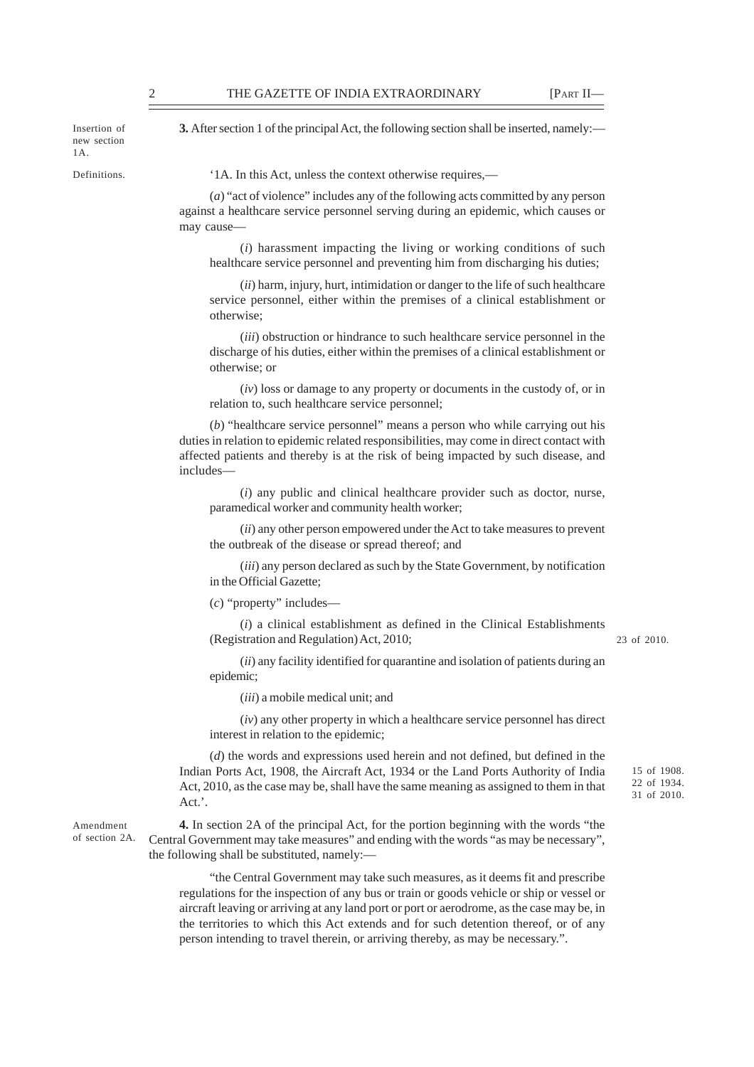Insertion of new section 1A.

Definitions.

**3.** After section 1 of the principal Act, the following section shall be inserted, namely:—

'1A. In this Act, unless the context otherwise requires,––

(*a*) "act of violence" includes any of the following acts committed by any person against a healthcare service personnel serving during an epidemic, which causes or may cause-

(*i*) harassment impacting the living or working conditions of such healthcare service personnel and preventing him from discharging his duties;

(*ii*) harm, injury, hurt, intimidation or danger to the life of such healthcare service personnel, either within the premises of a clinical establishment or otherwise;

(*iii*) obstruction or hindrance to such healthcare service personnel in the discharge of his duties, either within the premises of a clinical establishment or otherwise; or

(*iv*) loss or damage to any property or documents in the custody of, or in relation to, such healthcare service personnel;

(*b*) "healthcare service personnel" means a person who while carrying out his duties in relation to epidemic related responsibilities, may come in direct contact with affected patients and thereby is at the risk of being impacted by such disease, and includes––

(*i*) any public and clinical healthcare provider such as doctor, nurse, paramedical worker and community health worker;

(*ii*) any other person empowered under the Act to take measures to prevent the outbreak of the disease or spread thereof; and

(*iii*) any person declared as such by the State Government, by notification in the Official Gazette;

(*c*) "property" includes––

(*i*) a clinical establishment as defined in the Clinical Establishments (Registration and Regulation) Act, 2010;

23 of 2010.

15 of 1908. 22 of 1934. 31 of 2010.

(*ii*) any facility identified for quarantine and isolation of patients during an epidemic;

(*iii*) a mobile medical unit; and

(*iv*) any other property in which a healthcare service personnel has direct interest in relation to the epidemic;

(*d*) the words and expressions used herein and not defined, but defined in the Indian Ports Act, 1908, the Aircraft Act, 1934 or the Land Ports Authority of India Act, 2010, as the case may be, shall have the same meaning as assigned to them in that Act.'.

Amendment of section 2A.

**4.** In section 2A of the principal Act, for the portion beginning with the words "the Central Government may take measures" and ending with the words "as may be necessary", the following shall be substituted, namely:––

"the Central Government may take such measures, as it deems fit and prescribe regulations for the inspection of any bus or train or goods vehicle or ship or vessel or aircraft leaving or arriving at any land port or port or aerodrome, as the case may be, in the territories to which this Act extends and for such detention thereof, or of any person intending to travel therein, or arriving thereby, as may be necessary.".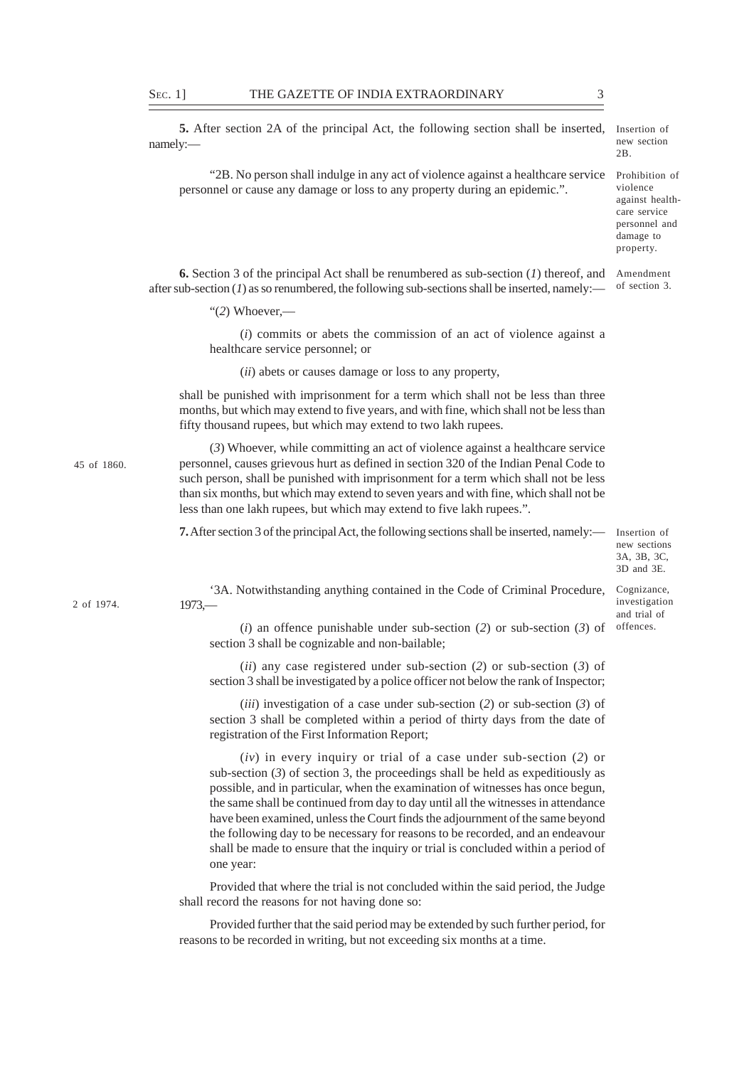**5.** After section 2A of the principal Act, the following section shall be inserted, namely:— Insertion of new section  $2R$ 

"2B. No person shall indulge in any act of violence against a healthcare service Prohibition of personnel or cause any damage or loss to any property during an epidemic.".

violence against healthcare service personnel and damage to property.

**6.** Section 3 of the principal Act shall be renumbered as sub-section (*1*) thereof, and Amendment after sub-section  $(I)$  as so renumbered, the following sub-sections shall be inserted, namely: of section 3.

"(*2*) Whoever,––

(*i*) commits or abets the commission of an act of violence against a healthcare service personnel; or

(*ii*) abets or causes damage or loss to any property,

shall be punished with imprisonment for a term which shall not be less than three months, but which may extend to five years, and with fine, which shall not be less than fifty thousand rupees, but which may extend to two lakh rupees.

(*3*) Whoever, while committing an act of violence against a healthcare service personnel, causes grievous hurt as defined in section 320 of the Indian Penal Code to such person, shall be punished with imprisonment for a term which shall not be less than six months, but which may extend to seven years and with fine, which shall not be less than one lakh rupees, but which may extend to five lakh rupees.".

**7.** After section 3 of the principal Act, the following sections shall be inserted, namely:—

Insertion of new sections 3A, 3B, 3C, 3D and 3E.

Cognizance, investigation

2 of 1974.

45 of 1860.

'3A. Notwithstanding anything contained in the Code of Criminal Procedure, 1973,—

(*i*) an offence punishable under sub-section (*2*) or sub-section (*3*) of section 3 shall be cognizable and non-bailable; and trial of offences.

(*ii*) any case registered under sub-section (*2*) or sub-section (*3*) of section 3 shall be investigated by a police officer not below the rank of Inspector;

(*iii*) investigation of a case under sub-section (*2*) or sub-section (*3*) of section 3 shall be completed within a period of thirty days from the date of registration of the First Information Report;

(*iv*) in every inquiry or trial of a case under sub-section (*2*) or sub-section  $(3)$  of section 3, the proceedings shall be held as expeditiously as possible, and in particular, when the examination of witnesses has once begun, the same shall be continued from day to day until all the witnesses in attendance have been examined, unless the Court finds the adjournment of the same beyond the following day to be necessary for reasons to be recorded, and an endeavour shall be made to ensure that the inquiry or trial is concluded within a period of one year:

Provided that where the trial is not concluded within the said period, the Judge shall record the reasons for not having done so:

Provided further that the said period may be extended by such further period, for reasons to be recorded in writing, but not exceeding six months at a time.